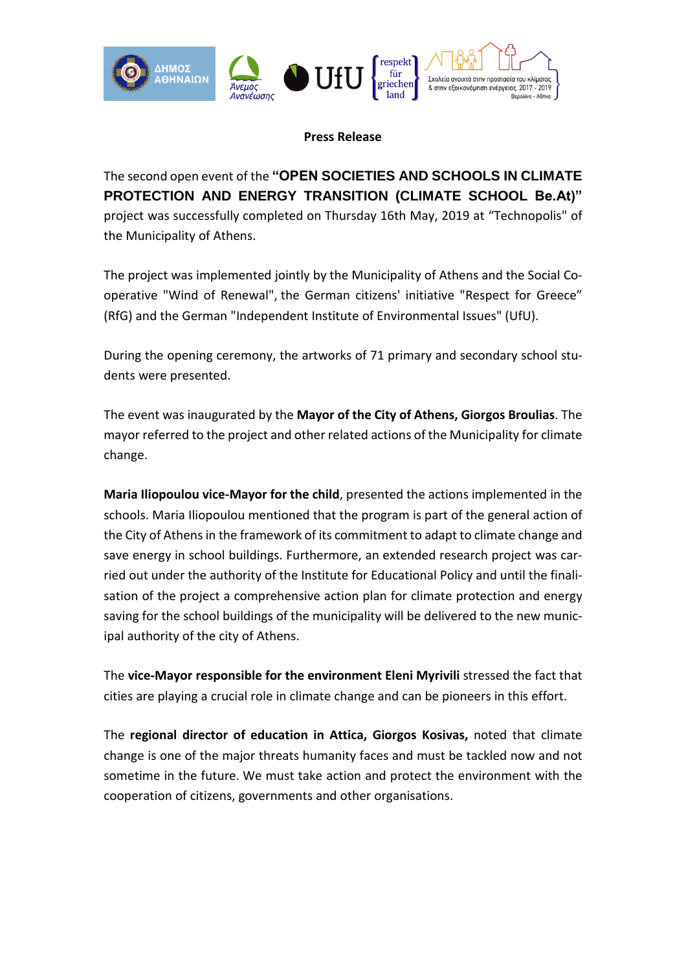

**Press Release**

The second open event of the **"OPEN SOCIETIES AND SCHOOLS IN CLIMATE PROTECTION AND ENERGY TRANSITION (CLIMATE SCHOOL Be.At)"** project was successfully completed on Thursday 16th May, 2019 at "Technopolis" of the Municipality of Athens.

The project was implemented jointly by the Municipality of Athens and the Social Cooperative "Wind of Renewal", the German citizens' initiative "Respect for Greece" (RfG) and the German "Independent Institute of Environmental Issues" (UfU).

During the opening ceremony, the artworks of 71 primary and secondary school students were presented.

The event was inaugurated by the **Mayor of the City of Athens, Giorgos Broulias**. The mayor referred to the project and other related actions of the Municipality for climate change.

**Maria Iliopoulou vice-Mayor for the child**, presented the actions implemented in the schools. Maria Iliopoulou mentioned that the program is part of the general action of the City of Athens in the framework of its commitment to adapt to climate change and save energy in school buildings. Furthermore, an extended research project was carried out under the authority of the Institute for Educational Policy and until the finalisation of the project a comprehensive action plan for climate protection and energy saving for the school buildings of the municipality will be delivered to the new municipal authority of the city of Athens.

The **vice-Mayor responsible for the environment Eleni Myrivili** stressed the fact that cities are playing a crucial role in climate change and can be pioneers in this effort.

The **regional director of education in Attica, Giorgos Kosivas,** noted that climate change is one of the major threats humanity faces and must be tackled now and not sometime in the future. We must take action and protect the environment with the cooperation of citizens, governments and other organisations.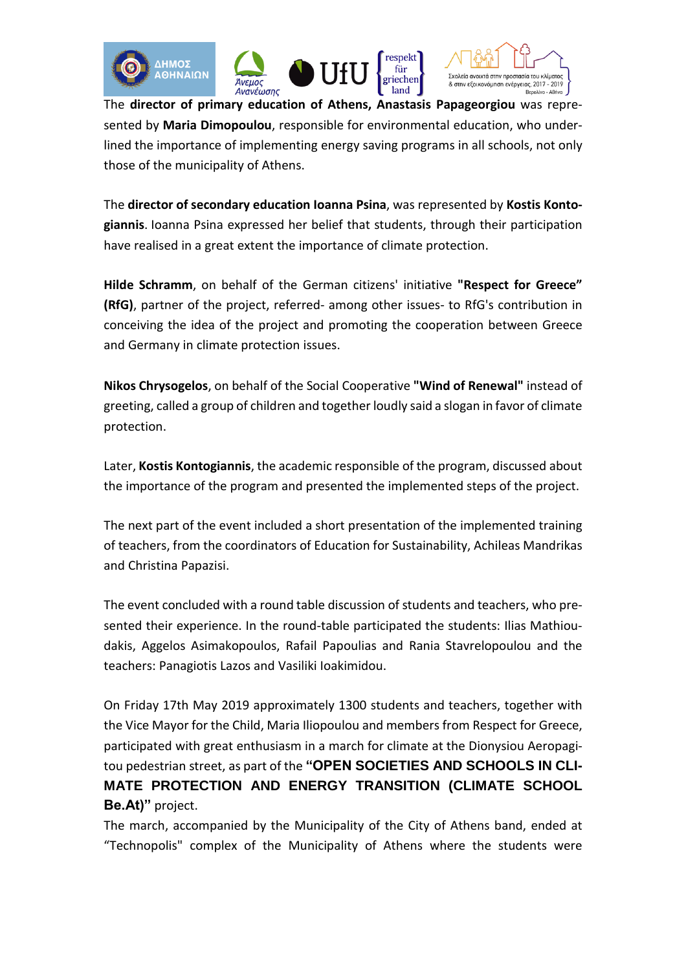





The **director of primary education of Athens, Anastasis Papageorgiou** was represented by **Maria Dimopoulou**, responsible for environmental education, who underlined the importance of implementing energy saving programs in all schools, not only those of the municipality of Athens.

The **director of secondary education Ioanna Psina**, was represented by **Kostis Kontogiannis**. Ioanna Psina expressed her belief that students, through their participation have realised in a great extent the importance of climate protection.

**Hilde Schramm**, on behalf of the German citizens' initiative **"Respect for Greece" (RfG)**, partner of the project, referred- among other issues- to RfG's contribution in conceiving the idea of the project and promoting the cooperation between Greece and Germany in climate protection issues.

**Nikos Chrysogelos**, on behalf of the Social Cooperative **"Wind of Renewal"** instead of greeting, called a group of children and together loudly said a slogan in favor of climate protection.

Later, **Kostis Kontogiannis**, the academic responsible of the program, discussed about the importance of the program and presented the implemented steps of the project.

The next part of the event included a short presentation of the implemented training of teachers, from the coordinators of Education for Sustainability, Achileas Mandrikas and Christina Papazisi.

The event concluded with a round table discussion of students and teachers, who presented their experience. In the round-table participated the students: Ilias Mathioudakis, Aggelos Asimakopoulos, Rafail Papoulias and Rania Stavrelopoulou and the teachers: Panagiotis Lazos and Vasiliki Ioakimidou.

On Friday 17th May 2019 approximately 1300 students and teachers, together with the Vice Mayor for the Child, Maria Iliopoulou and members from Respect for Greece, participated with great enthusiasm in a march for climate at the Dionysiou Aeropagitou pedestrian street, as part of the **"OPEN SOCIETIES AND SCHOOLS IN CLI-MATE PROTECTION AND ENERGY TRANSITION (CLIMATE SCHOOL Be.At)"** project.

The march, accompanied by the Municipality of the City of Athens band, ended at "Technopolis" complex of the Municipality of Athens where the students were